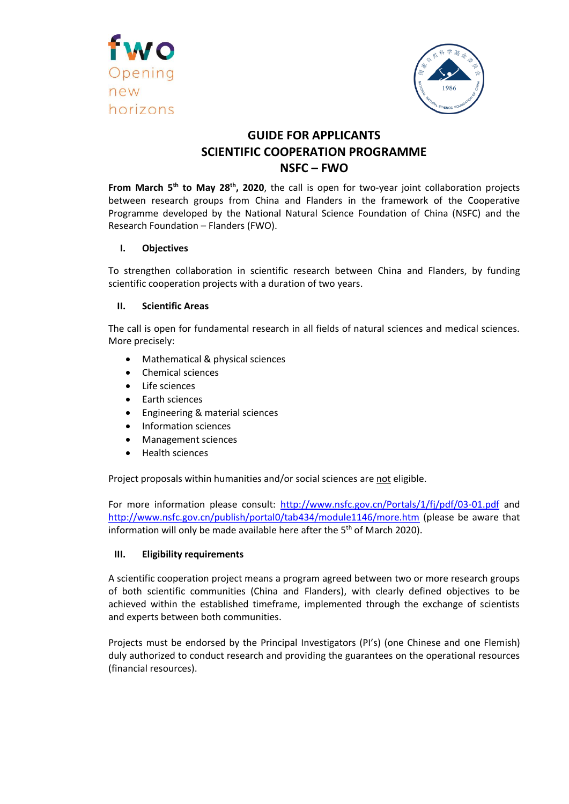



# **GUIDE FOR APPLICANTS SCIENTIFIC COOPERATION PROGRAMME NSFC – FWO**

From March 5<sup>th</sup> to May 28<sup>th</sup>, 2020, the call is open for two-year joint collaboration projects between research groups from China and Flanders in the framework of the Cooperative Programme developed by the National Natural Science Foundation of China (NSFC) and the Research Foundation – Flanders (FWO).

## **I. Objectives**

To strengthen collaboration in scientific research between China and Flanders, by funding scientific cooperation projects with a duration of two years.

## **II. Scientific Areas**

The call is open for fundamental research in all fields of natural sciences and medical sciences. More precisely:

- Mathematical & physical sciences
- Chemical sciences
- Life sciences
- Earth sciences
- Engineering & material sciences
- Information sciences
- Management sciences
- Health sciences

Project proposals within humanities and/or social sciences are not eligible.

For more information please consult:<http://www.nsfc.gov.cn/Portals/1/fj/pdf/03-01.pdf> and <http://www.nsfc.gov.cn/publish/portal0/tab434/module1146/more.htm> (please be aware that information will only be made available here after the  $5<sup>th</sup>$  of March 2020).

## **III. Eligibility requirements**

A scientific cooperation project means a program agreed between two or more research groups of both scientific communities (China and Flanders), with clearly defined objectives to be achieved within the established timeframe, implemented through the exchange of scientists and experts between both communities.

Projects must be endorsed by the Principal Investigators (PI's) (one Chinese and one Flemish) duly authorized to conduct research and providing the guarantees on the operational resources (financial resources).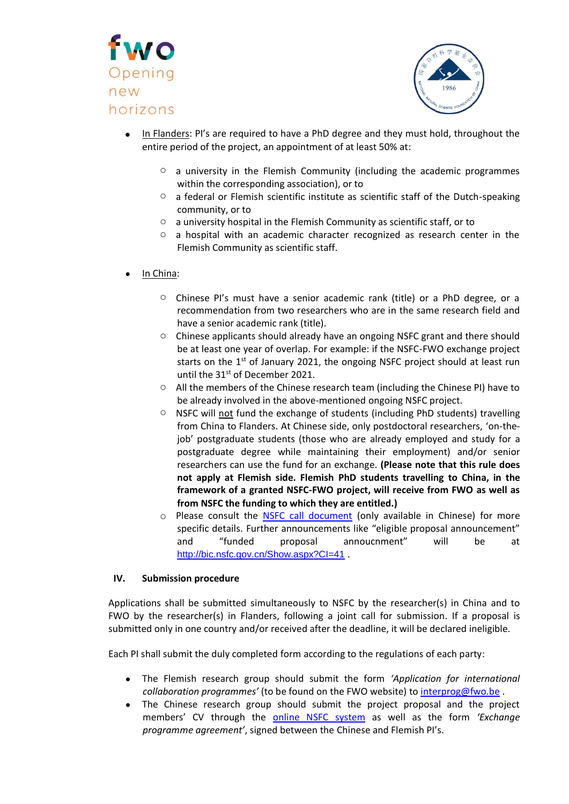



- In Flanders: PI's are required to have a PhD degree and they must hold, throughout the entire period of the project, an appointment of at least 50% at:
	- $\circ$  a university in the Flemish Community (including the academic programmes within the corresponding association), or to
	- $\circ$  a federal or Flemish scientific institute as scientific staff of the Dutch-speaking community, or to
	- o a university hospital in the Flemish Community as scientific staff, or to
	- o a hospital with an academic character recognized as research center in the Flemish Community as scientific staff.
- In China:
	- o Chinese PI's must have a senior academic rank (title) or a PhD degree, or a recommendation from two researchers who are in the same research field and have a senior academic rank (title).
	- o Chinese applicants should already have an ongoing NSFC grant and there should be at least one year of overlap. For example: if the NSFC-FWO exchange project starts on the  $1<sup>st</sup>$  of January 2021, the ongoing NSFC project should at least run until the 31<sup>st</sup> of December 2021.
	- $\circ$  All the members of the Chinese research team (including the Chinese PI) have to be already involved in the above-mentioned ongoing NSFC project.
	- $\circ$  NSFC will not fund the exchange of students (including PhD students) travelling from China to Flanders. At Chinese side, only postdoctoral researchers, 'on-thejob' postgraduate students (those who are already employed and study for a postgraduate degree while maintaining their employment) and/or senior researchers can use the fund for an exchange. **(Please note that this rule does not apply at Flemish side. Flemish PhD students travelling to China, in the framework of a granted NSFC-FWO project, will receive from FWO as well as from NSFC the funding to which they are entitled.)**
	- o Please consult the [NSFC call document](http://www.nsfc.gov.cn/publish/portal0/tab434/module1146/more.htm) (only available in Chinese) for more specific details. Further announcements like "eligible proposal announcement" and "funded proposal annoucnment" will be at <http://bic.nsfc.gov.cn/Show.aspx?CI=41>.

## **IV. Submission procedure**

Applications shall be submitted simultaneously to NSFC by the researcher(s) in China and to FWO by the researcher(s) in Flanders, following a joint call for submission. If a proposal is submitted only in one country and/or received after the deadline, it will be declared ineligible.

Each PI shall submit the duly completed form according to the regulations of each party:

- The Flemish research group should submit the form *'Application for international collaboration programmes'* (to be found on the FWO website) to [interprog@fwo.be](mailto:interprog@fwo.be) .
- The Chinese research group should submit the project proposal and the project members' CV through the [online NSFC system](https://isisn.nsfc.gov.cn/egrantweb/) as well as the form *'Exchange programme agreement'*, signed between the Chinese and Flemish PI's.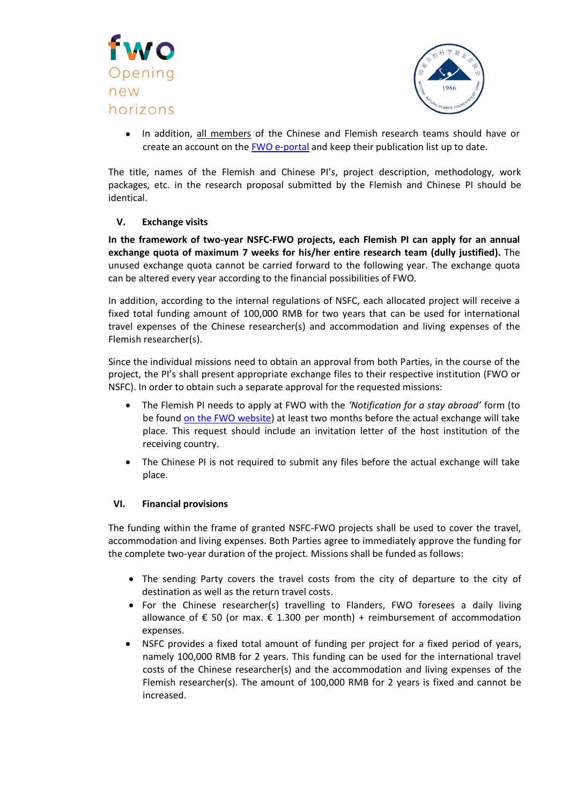



• In addition, all members of the Chinese and Flemish research teams should have or create an account on the [FWO e-portal](http://www.fwo-eloket.be/FWO.ELoket.WebUI/Login.aspx) and keep their publication list up to date.

The title, names of the Flemish and Chinese PI's, project description, methodology, work packages, etc. in the research proposal submitted by the Flemish and Chinese PI should be identical.

## **V. Exchange visits**

**In the framework of two-year NSFC-FWO projects, each Flemish PI can apply for an annual exchange quota of maximum 7 weeks for his/her entire research team (dully justified).** The unused exchange quota cannot be carried forward to the following year. The exchange quota can be altered every year according to the financial possibilities of FWO.

In addition, according to the internal regulations of NSFC, each allocated project will receive a fixed total funding amount of 100,000 RMB for two years that can be used for international travel expenses of the Chinese researcher(s) and accommodation and living expenses of the Flemish researcher(s).

Since the individual missions need to obtain an approval from both Parties, in the course of the project, the PI's shall present appropriate exchange files to their respective institution (FWO or NSFC). In order to obtain such a separate approval for the requested missions:

- The Flemish PI needs to apply at FWO with the *'Notification for a stay abroad'* form (to be found [on the FWO website\)](http://www.fwo.be/en/fellowships-funding/international-collaboration/scientific-cooperation/cooperation-with-china/) at least two months before the actual exchange will take place. This request should include an invitation letter of the host institution of the receiving country.
- The Chinese PI is not required to submit any files before the actual exchange will take place.

## **VI. Financial provisions**

The funding within the frame of granted NSFC-FWO projects shall be used to cover the travel, accommodation and living expenses. Both Parties agree to immediately approve the funding for the complete two-year duration of the project. Missions shall be funded as follows:

- The sending Party covers the travel costs from the city of departure to the city of destination as well as the return travel costs.
- For the Chinese researcher(s) travelling to Flanders, FWO foresees a daily living allowance of € 50 (or max.  $€ 1.300$  per month) + reimbursement of accommodation expenses.
- NSFC provides a fixed total amount of funding per project for a fixed period of years, namely 100,000 RMB for 2 years. This funding can be used for the international travel costs of the Chinese researcher(s) and the accommodation and living expenses of the Flemish researcher(s). The amount of 100,000 RMB for 2 years is fixed and cannot be increased.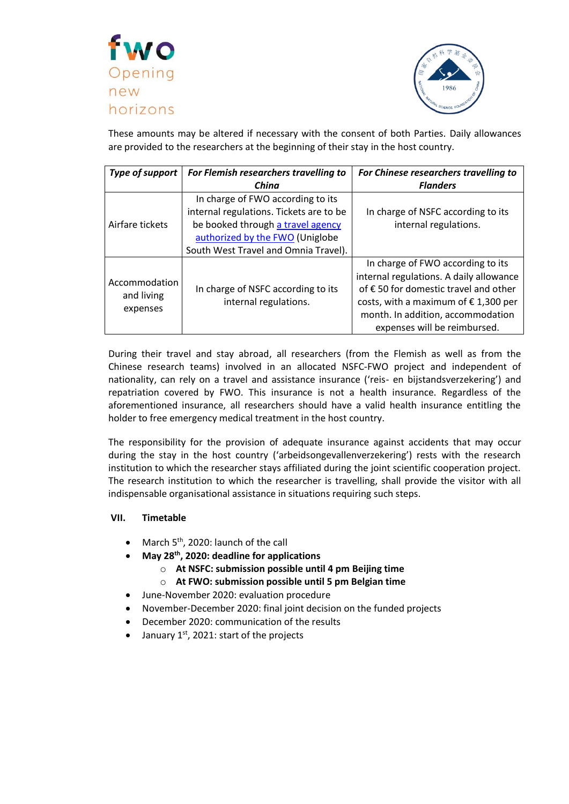



These amounts may be altered if necessary with the consent of both Parties. Daily allowances are provided to the researchers at the beginning of their stay in the host country.

| <b>Type of support</b>                  | For Flemish researchers travelling to   | For Chinese researchers travelling to         |
|-----------------------------------------|-----------------------------------------|-----------------------------------------------|
|                                         | China                                   | <b>Flanders</b>                               |
| Airfare tickets                         | In charge of FWO according to its       |                                               |
|                                         | internal regulations. Tickets are to be | In charge of NSFC according to its            |
|                                         | be booked through a travel agency       | internal regulations.                         |
|                                         | authorized by the FWO (Uniglobe         |                                               |
|                                         | South West Travel and Omnia Travel).    |                                               |
| Accommodation<br>and living<br>expenses |                                         | In charge of FWO according to its             |
|                                         |                                         | internal regulations. A daily allowance       |
|                                         | In charge of NSFC according to its      | of € 50 for domestic travel and other         |
|                                         | internal regulations.                   | costs, with a maximum of $\epsilon$ 1,300 per |
|                                         |                                         | month. In addition, accommodation             |
|                                         |                                         | expenses will be reimbursed.                  |

During their travel and stay abroad, all researchers (from the Flemish as well as from the Chinese research teams) involved in an allocated NSFC-FWO project and independent of nationality, can rely on a travel and assistance insurance ('reis- en bijstandsverzekering') and repatriation covered by FWO. This insurance is not a health insurance. Regardless of the aforementioned insurance, all researchers should have a valid health insurance entitling the holder to free emergency medical treatment in the host country.

The responsibility for the provision of adequate insurance against accidents that may occur during the stay in the host country ('arbeidsongevallenverzekering') rests with the research institution to which the researcher stays affiliated during the joint scientific cooperation project. The research institution to which the researcher is travelling, shall provide the visitor with all indispensable organisational assistance in situations requiring such steps.

## **VII. Timetable**

- March 5<sup>th</sup>, 2020: launch of the call
- **May 28 th , 2020: deadline for applications**
	- o **At NSFC: submission possible until 4 pm Beijing time**
	- o **At FWO: submission possible until 5 pm Belgian time**
- June-November 2020: evaluation procedure
- November-December 2020: final joint decision on the funded projects
- December 2020: communication of the results
- January  $1^{st}$ , 2021: start of the projects